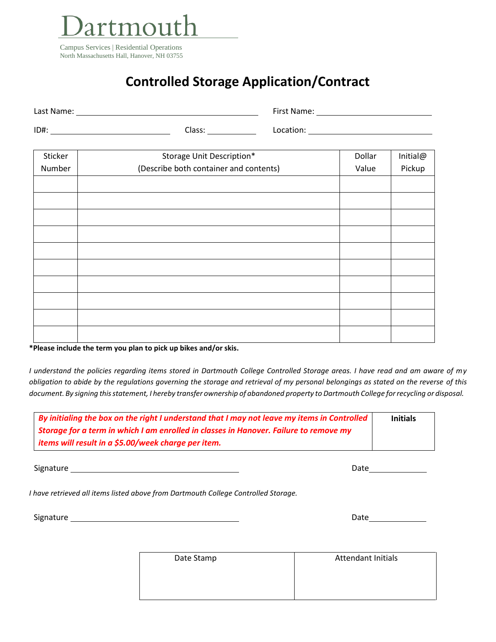

## **Controlled Storage Application/Contract**

| Last Name: |        | First Name: |
|------------|--------|-------------|
| ID#:       | Class: | Location:   |

| Sticker | Storage Unit Description*              | Dollar | Initial@ |
|---------|----------------------------------------|--------|----------|
| Number  | (Describe both container and contents) | Value  | Pickup   |
|         |                                        |        |          |
|         |                                        |        |          |
|         |                                        |        |          |
|         |                                        |        |          |
|         |                                        |        |          |
|         |                                        |        |          |
|         |                                        |        |          |
|         |                                        |        |          |
|         |                                        |        |          |
|         |                                        |        |          |

**\*Please include the term you plan to pick up bikes and/or skis.**

*I understand the policies regarding items stored in Dartmouth College Controlled Storage areas. I have read and am aware of my obligation to abide by the regulations governing the storage and retrieval of my personal belongings as stated on the reverse of this*  document. By signing this statement, I hereby transfer ownership of abandoned property to Dartmouth College for recycling or disposal.

| By initialing the box on the right I understand that I may not leave my items in Controlled |  |
|---------------------------------------------------------------------------------------------|--|
| Storage for a term in which I am enrolled in classes in Hanover. Failure to remove my       |  |
| items will result in a \$5.00/week charge per item.                                         |  |

Signature Date Date Control Control of the Control Control Control Control Control Control Control Control Control Control Control Control Control Control Control Control Control Control Control Control Control Control Con

*I have retrieved all items listed above from Dartmouth College Controlled Storage.*

| Signature | vale |
|-----------|------|
|-----------|------|

| Date Stamp | <b>Attendant Initials</b> |
|------------|---------------------------|
|            |                           |
|            |                           |
|            |                           |